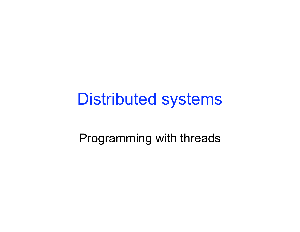### Distributed systems

Programming with threads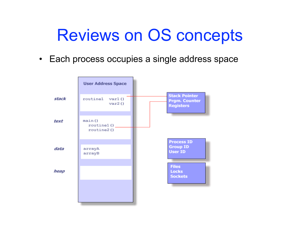### Reviews on OS concepts

• Each process occupies a single address space

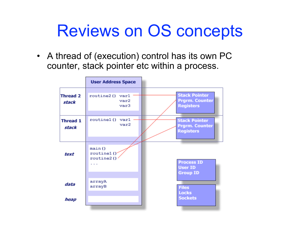## Reviews on OS concepts

• A thread of (execution) control has its own PC counter, stack pointer etc within a process.

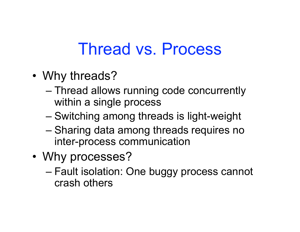### Thread vs. Process

- Why threads?
	- Thread allows running code concurrently within a single process
	- Switching among threads is light-weight
	- Sharing data among threads requires no inter-process communication
- Why processes?
	- Fault isolation: One buggy process cannot crash others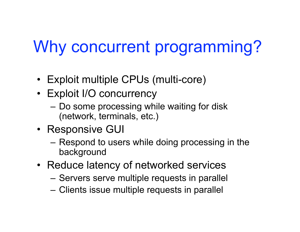# Why concurrent programming?

- Exploit multiple CPUs (multi-core)
- Exploit I/O concurrency
	- Do some processing while waiting for disk (network, terminals, etc.)
- Responsive GUI
	- Respond to users while doing processing in the background
- Reduce latency of networked services
	- Servers serve multiple requests in parallel
	- Clients issue multiple requests in parallel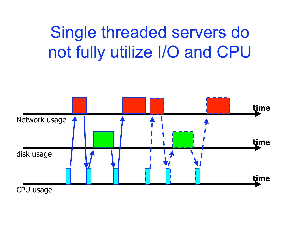## Single threaded servers do not fully utilize I/O and CPU

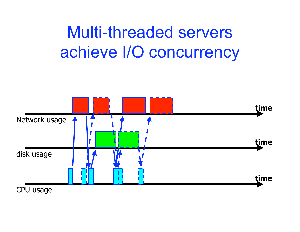## Multi-threaded servers achieve I/O concurrency

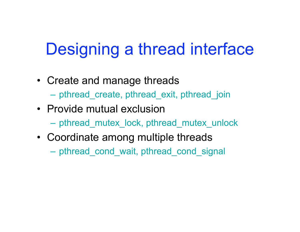# Designing a thread interface

- Create and manage threads
	- pthread\_create, pthread\_exit, pthread\_join
- Provide mutual exclusion
	- pthread\_mutex\_lock, pthread\_mutex\_unlock
- Coordinate among multiple threads
	- pthread\_cond\_wait, pthread\_cond\_signal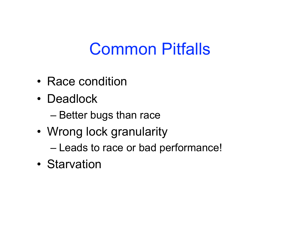## Common Pitfalls

- Race condition
- Deadlock
	- Better bugs than race
- Wrong lock granularity
	- Leads to race or bad performance!
- Starvation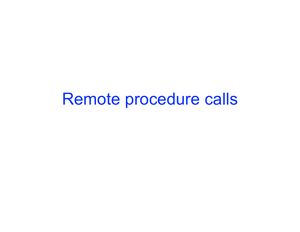#### Remote procedure calls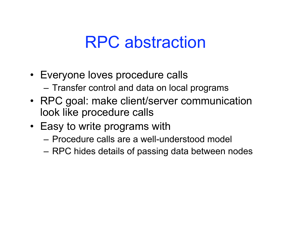### RPC abstraction

- Everyone loves procedure calls
	- Transfer control and data on local programs
- RPC goal: make client/server communication look like procedure calls
- Easy to write programs with
	- Procedure calls are a well-understood model
	- RPC hides details of passing data between nodes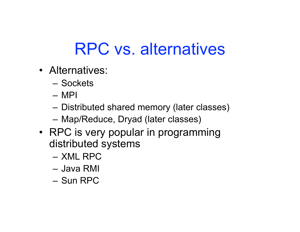# RPC vs. alternatives

- Alternatives:
	- Sockets
	- MPI
	- Distributed shared memory (later classes)
	- Map/Reduce, Dryad (later classes)
- RPC is very popular in programming distributed systems
	- XML RPC
	- Java RMI
	- Sun RPC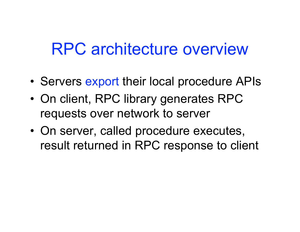### RPC architecture overview

- Servers export their local procedure APIs
- On client, RPC library generates RPC requests over network to server
- On server, called procedure executes, result returned in RPC response to client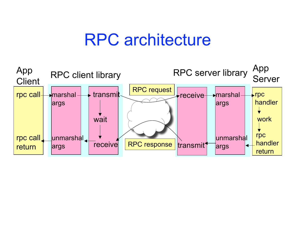#### RPC architecture

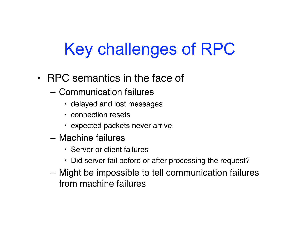# Key challenges of RPC

- RPC semantics in the face of
	- Communication failures
		- delayed and lost messages
		- connection resets
		- expected packets never arrive
	- Machine failures
		- Server or client failures
		- Did server fail before or after processing the request?
	- Might be impossible to tell communication failures from machine failures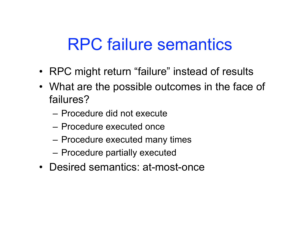### RPC failure semantics

- RPC might return "failure" instead of results
- What are the possible outcomes in the face of failures?
	- Procedure did not execute
	- Procedure executed once
	- Procedure executed many times
	- Procedure partially executed
- Desired semantics: at-most-once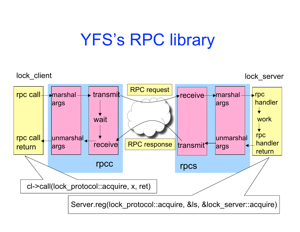## YFS's RPC library

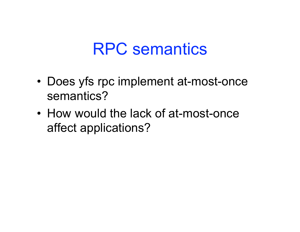#### RPC semantics

- Does yfs rpc implement at-most-once semantics?
- How would the lack of at-most-once affect applications?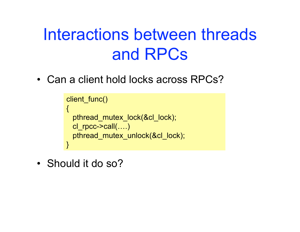## Interactions between threads and RPCs

• Can a client hold locks across RPCs?

```
client_func()
{
  pthread_mutex_lock(&cl_lock);
  cl_rpcc->call(….)
  pthread_mutex_unlock(&cl_lock);
}
```
• Should it do so?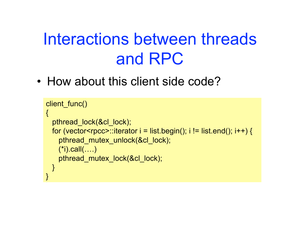## Interactions between threads and RPC

• How about this client side code?

```
client_func()
{
   pthread_lock(&cl_lock);
  for (vector<rpcc>::iterator i = list.begin(); i != list.end(); i++) {
     pthread_mutex_unlock(&cl_lock);
     (*i).call(….)
     pthread_mutex_lock(&cl_lock);
  }
}
```